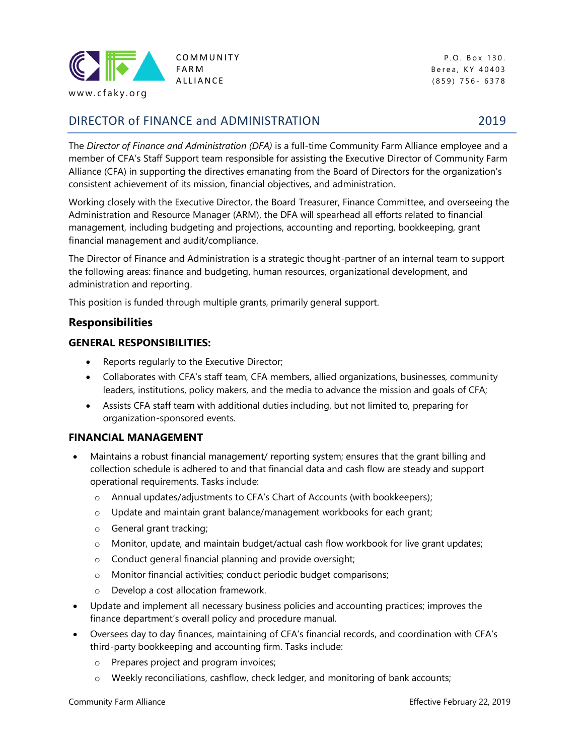

www.cfaky.org

# DIRECTOR of FINANCE and ADMINISTRATION 2019

COMMUNITY P.O. Box 130. FARM Berea, KY 40403 A LLIANCE (859) 756 - 6378

The *Director of Finance and Administration (DFA)* is a full-time Community Farm Alliance employee and a member of CFA's Staff Support team responsible for assisting the Executive Director of Community Farm Alliance (CFA) in supporting the directives emanating from the Board of Directors for the organization's consistent achievement of its mission, financial objectives, and administration.

Working closely with the Executive Director, the Board Treasurer, Finance Committee, and overseeing the Administration and Resource Manager (ARM), the DFA will spearhead all efforts related to financial management, including budgeting and projections, accounting and reporting, bookkeeping, grant financial management and audit/compliance.

The Director of Finance and Administration is a strategic thought-partner of an internal team to support the following areas: finance and budgeting, human resources, organizational development, and administration and reporting.

This position is funded through multiple grants, primarily general support.

### **Responsibilities**

#### **GENERAL RESPONSIBILITIES:**

- Reports regularly to the Executive Director;
- Collaborates with CFA's staff team, CFA members, allied organizations, businesses, community leaders, institutions, policy makers, and the media to advance the mission and goals of CFA;
- Assists CFA staff team with additional duties including, but not limited to, preparing for organization-sponsored events.

#### **FINANCIAL MANAGEMENT**

- Maintains a robust financial management/ reporting system; ensures that the grant billing and collection schedule is adhered to and that financial data and cash flow are steady and support operational requirements. Tasks include:
	- o Annual updates/adjustments to CFA's Chart of Accounts (with bookkeepers);
	- o Update and maintain grant balance/management workbooks for each grant;
	- o General grant tracking;
	- o Monitor, update, and maintain budget/actual cash flow workbook for live grant updates;
	- o Conduct general financial planning and provide oversight;
	- o Monitor financial activities; conduct periodic budget comparisons;
	- o Develop a cost allocation framework.
- Update and implement all necessary business policies and accounting practices; improves the finance department's overall policy and procedure manual.
- Oversees day to day finances, maintaining of CFA's financial records, and coordination with CFA's third-party bookkeeping and accounting firm. Tasks include:
	- o Prepares project and program invoices;
	- o Weekly reconciliations, cashflow, check ledger, and monitoring of bank accounts;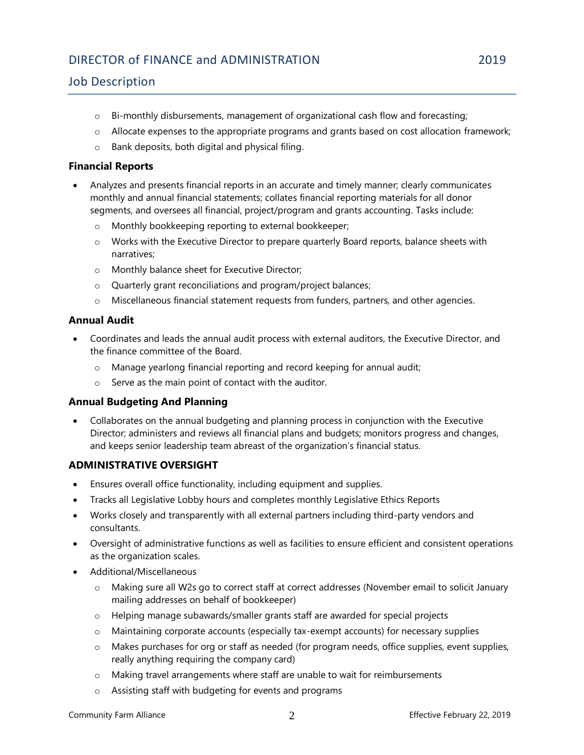# DIRECTOR of FINANCE and ADMINISTRATION 2019

## Job Description

- $\circ$  Bi-monthly disbursements, management of organizational cash flow and forecasting;
- o Allocate expenses to the appropriate programs and grants based on cost allocation framework;
- o Bank deposits, both digital and physical filing.

#### **Financial Reports**

- Analyzes and presents financial reports in an accurate and timely manner; clearly communicates monthly and annual financial statements; collates financial reporting materials for all donor segments, and oversees all financial, project/program and grants accounting. Tasks include:
	- o Monthly bookkeeping reporting to external bookkeeper;
	- o Works with the Executive Director to prepare quarterly Board reports, balance sheets with narratives;
	- o Monthly balance sheet for Executive Director;
	- o Quarterly grant reconciliations and program/project balances;
	- o Miscellaneous financial statement requests from funders, partners, and other agencies.

### **Annual Audit**

- Coordinates and leads the annual audit process with external auditors, the Executive Director, and the finance committee of the Board.
	- o Manage yearlong financial reporting and record keeping for annual audit;
	- o Serve as the main point of contact with the auditor.

### **Annual Budgeting And Planning**

• Collaborates on the annual budgeting and planning process in conjunction with the Executive Director; administers and reviews all financial plans and budgets; monitors progress and changes, and keeps senior leadership team abreast of the organization's financial status.

### **ADMINISTRATIVE OVERSIGHT**

- Ensures overall office functionality, including equipment and supplies.
- Tracks all Legislative Lobby hours and completes monthly Legislative Ethics Reports
- Works closely and transparently with all external partners including third-party vendors and consultants.
- Oversight of administrative functions as well as facilities to ensure efficient and consistent operations as the organization scales.
- Additional/Miscellaneous
	- o Making sure all W2s go to correct staff at correct addresses (November email to solicit January mailing addresses on behalf of bookkeeper)
	- o Helping manage subawards/smaller grants staff are awarded for special projects
	- o Maintaining corporate accounts (especially tax-exempt accounts) for necessary supplies
	- o Makes purchases for org or staff as needed (for program needs, office supplies, event supplies, really anything requiring the company card)
	- $\circ$  Making travel arrangements where staff are unable to wait for reimbursements
	- o Assisting staff with budgeting for events and programs